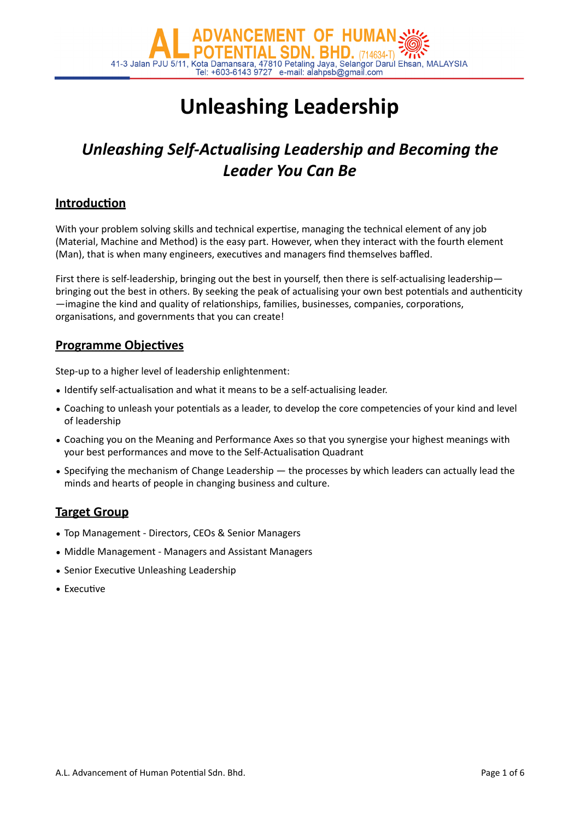

# **Unleashing Leadership**

## *Unleashing Self-Actualising Leadership and Becoming the Leader You Can Be*

### **Introduction**

With your problem solving skills and technical expertise, managing the technical element of any job (Material, Machine and Method) is the easy part. However, when they interact with the fourth element (Man), that is when many engineers, executives and managers find themselves baffled.

First there is self-leadership, bringing out the best in yourself, then there is self-actualising leadership bringing out the best in others. By seeking the peak of actualising your own best potentials and authenticity -imagine the kind and quality of relationships, families, businesses, companies, corporations, organisations, and governments that you can create!

### **Programme Objectives**

Step-up to a higher level of leadership enlightenment:

- Identify self-actualisation and what it means to be a self-actualising leader.
- Coaching to unleash your potentials as a leader, to develop the core competencies of your kind and level of leadership
- Coaching you on the Meaning and Performance Axes so that you synergise your highest meanings with your best performances and move to the Self-Actualisation Quadrant
- Specifying the mechanism of Change Leadership the processes by which leaders can actually lead the minds and hearts of people in changing business and culture.

### **Target Group**

- Top Management Directors, CEOs & Senior Managers
- Middle Management Managers and Assistant Managers
- Senior Executive Unleashing Leadership
- $\bullet$  Executive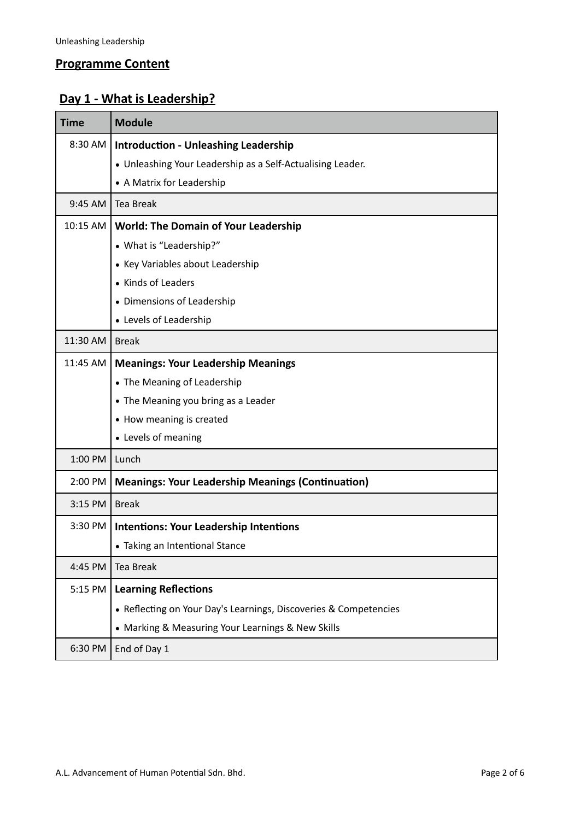### **Programme Content**

### **Day 1 - What is Leadership?**

| <b>Time</b> | <b>Module</b>                                                    |
|-------------|------------------------------------------------------------------|
| 8:30 AM     | <b>Introduction - Unleashing Leadership</b>                      |
|             | • Unleashing Your Leadership as a Self-Actualising Leader.       |
|             | • A Matrix for Leadership                                        |
| 9:45 AM     | <b>Tea Break</b>                                                 |
| 10:15 AM    | <b>World: The Domain of Your Leadership</b>                      |
|             | • What is "Leadership?"                                          |
|             | • Key Variables about Leadership                                 |
|             | • Kinds of Leaders                                               |
|             | • Dimensions of Leadership                                       |
|             | • Levels of Leadership                                           |
| 11:30 AM    | <b>Break</b>                                                     |
| 11:45 AM    | <b>Meanings: Your Leadership Meanings</b>                        |
|             | • The Meaning of Leadership                                      |
|             | • The Meaning you bring as a Leader                              |
|             | • How meaning is created                                         |
|             | • Levels of meaning                                              |
| 1:00 PM     | Lunch                                                            |
| 2:00 PM     | <b>Meanings: Your Leadership Meanings (Continuation)</b>         |
| 3:15 PM     | <b>Break</b>                                                     |
| 3:30 PM     | <b>Intentions: Your Leadership Intentions</b>                    |
|             | • Taking an Intentional Stance                                   |
| 4:45 PM     | <b>Tea Break</b>                                                 |
| 5:15 PM     | <b>Learning Reflections</b>                                      |
|             | • Reflecting on Your Day's Learnings, Discoveries & Competencies |
|             | • Marking & Measuring Your Learnings & New Skills                |
| 6:30 PM     | End of Day 1                                                     |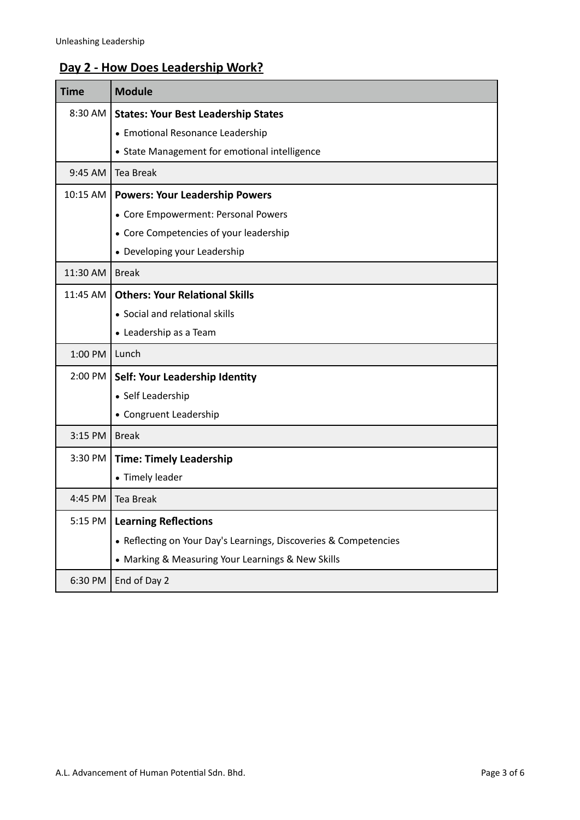### **Day 2 - How Does Leadership Work?**

| <b>Time</b> | <b>Module</b>                                                    |
|-------------|------------------------------------------------------------------|
| 8:30 AM     | <b>States: Your Best Leadership States</b>                       |
|             | • Emotional Resonance Leadership                                 |
|             | • State Management for emotional intelligence                    |
| 9:45 AM     | <b>Tea Break</b>                                                 |
| 10:15 AM    | <b>Powers: Your Leadership Powers</b>                            |
|             | • Core Empowerment: Personal Powers                              |
|             | • Core Competencies of your leadership                           |
|             | • Developing your Leadership                                     |
| 11:30 AM    | <b>Break</b>                                                     |
| 11:45 AM    | <b>Others: Your Relational Skills</b>                            |
|             | • Social and relational skills                                   |
|             | • Leadership as a Team                                           |
| 1:00 PM     | Lunch                                                            |
| 2:00 PM     | Self: Your Leadership Identity                                   |
|             | • Self Leadership                                                |
|             | • Congruent Leadership                                           |
| 3:15 PM     | <b>Break</b>                                                     |
| 3:30 PM     | <b>Time: Timely Leadership</b>                                   |
|             | • Timely leader                                                  |
| 4:45 PM     | <b>Tea Break</b>                                                 |
| 5:15 PM     | <b>Learning Reflections</b>                                      |
|             | • Reflecting on Your Day's Learnings, Discoveries & Competencies |
|             | • Marking & Measuring Your Learnings & New Skills                |
| 6:30 PM     | End of Day 2                                                     |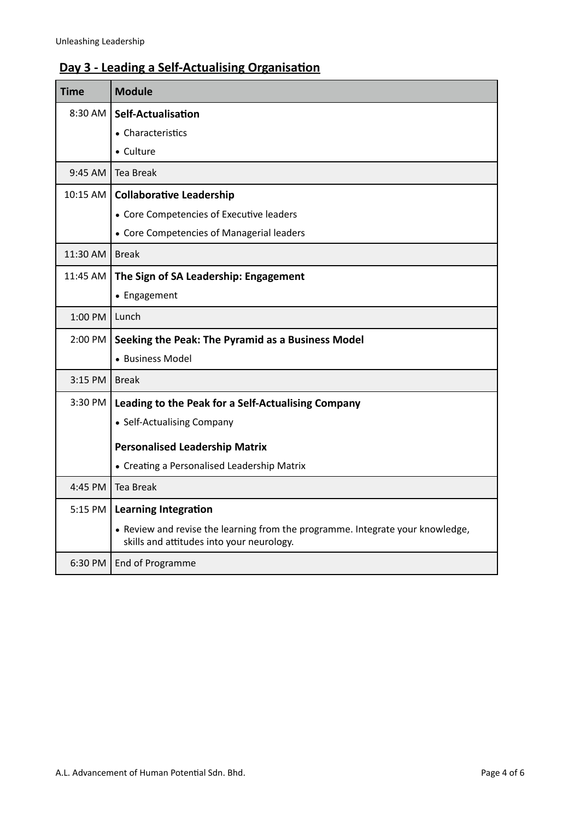### **Day 3 - Leading a Self-Actualising Organisation**

| <b>Time</b> | <b>Module</b>                                                                                                               |
|-------------|-----------------------------------------------------------------------------------------------------------------------------|
| 8:30 AM     | <b>Self-Actualisation</b>                                                                                                   |
|             | • Characteristics                                                                                                           |
|             | • Culture                                                                                                                   |
| 9:45 AM     | <b>Tea Break</b>                                                                                                            |
| 10:15 AM    | <b>Collaborative Leadership</b>                                                                                             |
|             | • Core Competencies of Executive leaders                                                                                    |
|             | • Core Competencies of Managerial leaders                                                                                   |
| 11:30 AM    | <b>Break</b>                                                                                                                |
| 11:45 AM    | The Sign of SA Leadership: Engagement                                                                                       |
|             | • Engagement                                                                                                                |
| 1:00 PM     | Lunch                                                                                                                       |
| 2:00 PM     | Seeking the Peak: The Pyramid as a Business Model                                                                           |
|             | • Business Model                                                                                                            |
| $3:15$ PM   | <b>Break</b>                                                                                                                |
| 3:30 PM     | Leading to the Peak for a Self-Actualising Company                                                                          |
|             | • Self-Actualising Company                                                                                                  |
|             | <b>Personalised Leadership Matrix</b>                                                                                       |
|             | • Creating a Personalised Leadership Matrix                                                                                 |
| $4:45$ PM   | <b>Tea Break</b>                                                                                                            |
| 5:15 PM     | <b>Learning Integration</b>                                                                                                 |
|             | • Review and revise the learning from the programme. Integrate your knowledge,<br>skills and attitudes into your neurology. |
| 6:30 PM     | End of Programme                                                                                                            |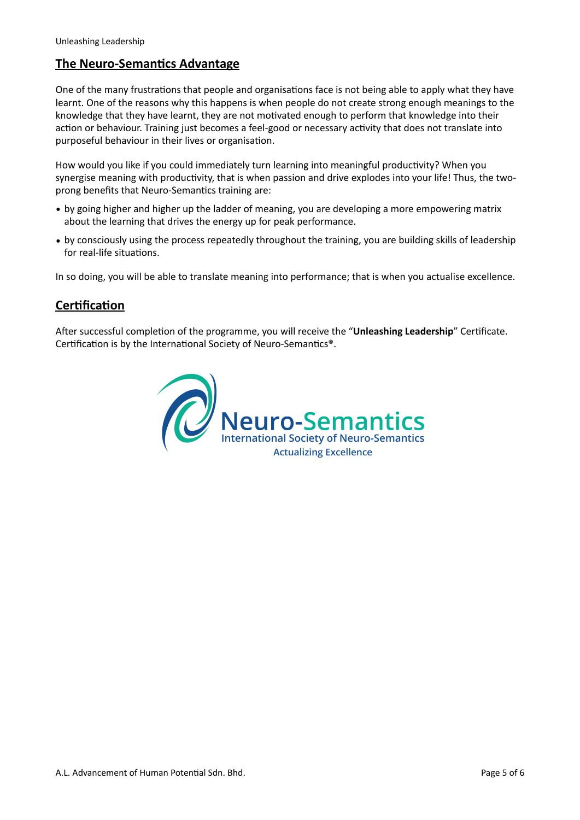### **The Neuro-Semantics Advantage**

One of the many frustrations that people and organisations face is not being able to apply what they have learnt. One of the reasons why this happens is when people do not create strong enough meanings to the knowledge that they have learnt, they are not motivated enough to perform that knowledge into their action or behaviour. Training just becomes a feel-good or necessary activity that does not translate into purposeful behaviour in their lives or organisation.

How would you like if you could immediately turn learning into meaningful productivity? When you synergise meaning with productivity, that is when passion and drive explodes into your life! Thus, the twoprong benefits that Neuro-Semantics training are:

- by going higher and higher up the ladder of meaning, you are developing a more empowering matrix about the learning that drives the energy up for peak performance.
- by consciously using the process repeatedly throughout the training, you are building skills of leadership for real-life situations.

In so doing, you will be able to translate meaning into performance; that is when you actualise excellence.

### **Certification**

After successful completion of the programme, you will receive the "Unleashing Leadership" Certificate. Certification is by the International Society of Neuro-Semantics®.